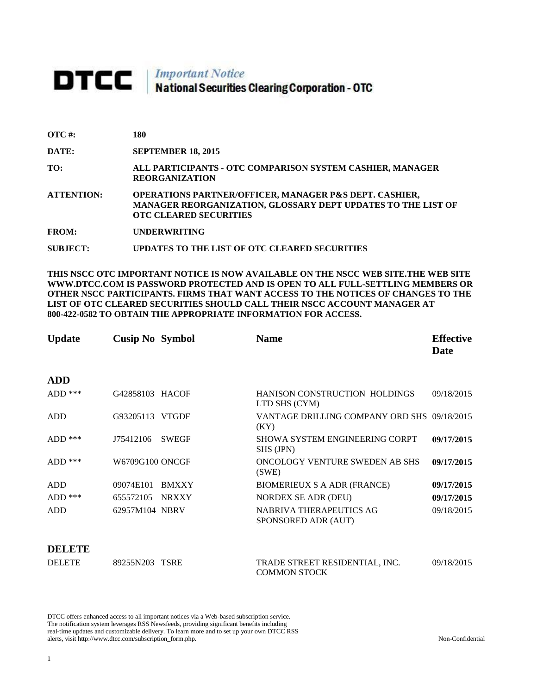# **DTCC** National Securities Clearing Corporation - OTC

| $\overline{OTC}$ #: | 180                                                                                                                                                                |
|---------------------|--------------------------------------------------------------------------------------------------------------------------------------------------------------------|
| DATE:               | <b>SEPTEMBER 18, 2015</b>                                                                                                                                          |
| TO:                 | ALL PARTICIPANTS - OTC COMPARISON SYSTEM CASHIER, MANAGER<br><b>REORGANIZATION</b>                                                                                 |
| <b>ATTENTION:</b>   | <b>OPERATIONS PARTNER/OFFICER, MANAGER P&amp;S DEPT. CASHIER,</b><br>MANAGER REORGANIZATION, GLOSSARY DEPT UPDATES TO THE LIST OF<br><b>OTC CLEARED SECURITIES</b> |
| <b>FROM:</b>        | <b>UNDERWRITING</b>                                                                                                                                                |
| <b>SUBJECT:</b>     | UPDATES TO THE LIST OF OTC CLEARED SECURITIES                                                                                                                      |

**THIS NSCC OTC IMPORTANT NOTICE IS NOW AVAILABLE ON THE NSCC WEB SITE.THE WEB SITE WWW.DTCC.COM IS PASSWORD PROTECTED AND IS OPEN TO ALL FULL-SETTLING MEMBERS OR OTHER NSCC PARTICIPANTS. FIRMS THAT WANT ACCESS TO THE NOTICES OF CHANGES TO THE LIST OF OTC CLEARED SECURITIES SHOULD CALL THEIR NSCC ACCOUNT MANAGER AT 800-422-0582 TO OBTAIN THE APPROPRIATE INFORMATION FOR ACCESS.** 

| <b>Update</b> | <b>Cusip No Symbol</b>    | <b>Name</b>                                         | <b>Effective</b><br>Date |
|---------------|---------------------------|-----------------------------------------------------|--------------------------|
| <b>ADD</b>    |                           |                                                     |                          |
| $ADD$ ***     | G42858103 HACOF           | HANISON CONSTRUCTION HOLDINGS<br>LTD SHS (CYM)      | 09/18/2015               |
| ADD           | G93205113 VTGDF           | VANTAGE DRILLING COMPANY ORD SHS 09/18/2015<br>(KY) |                          |
| $ADD$ ***     | <b>SWEGF</b><br>J75412106 | <b>SHOWA SYSTEM ENGINEERING CORPT</b><br>SHS (JPN)  | 09/17/2015               |
| $ADD$ ***     | W6709G100 ONCGF           | ONCOLOGY VENTURE SWEDEN AB SHS<br>(SWE)             | 09/17/2015               |
| ADD           | 09074E101<br><b>BMXXY</b> | <b>BIOMERIEUX S A ADR (FRANCE)</b>                  | 09/17/2015               |
| $ADD$ ***     | 655572105<br><b>NRXXY</b> | <b>NORDEX SE ADR (DEU)</b>                          | 09/17/2015               |
| <b>ADD</b>    | 62957M104 NBRV            | NABRIVA THERAPEUTICS AG<br>SPONSORED ADR (AUT)      | 09/18/2015               |
| DELETE        |                           |                                                     |                          |

DELETE 89255N203 TSRE TRADE STREET RESIDENTIAL, INC. COMMON STOCK 09/18/2015

DTCC offers enhanced access to all important notices via a Web-based subscription service. The notification system leverages RSS Newsfeeds, providing significant benefits including real-time updates and customizable delivery. To learn more and to set up your own DTCC RSS alerts, visit http://www.dtcc.com/subscription\_form.php. Non-Confidential